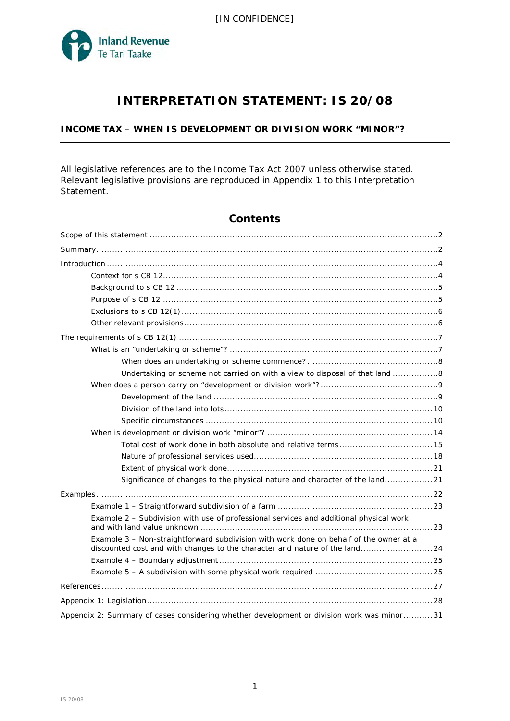

# **INTERPRETATION STATEMENT: IS 20/08**

# **INCOME TAX** – **WHEN IS DEVELOPMENT OR DIVISION WORK "MINOR"?**

All legislative references are to the Income Tax Act 2007 unless otherwise stated. Relevant legislative provisions are reproduced in Appendix 1 to this Interpretation Statement.

|  | <b>Contents</b> |
|--|-----------------|
|  |                 |

| Undertaking or scheme not carried on with a view to disposal of that land 8                                                                                           |
|-----------------------------------------------------------------------------------------------------------------------------------------------------------------------|
|                                                                                                                                                                       |
|                                                                                                                                                                       |
|                                                                                                                                                                       |
|                                                                                                                                                                       |
|                                                                                                                                                                       |
|                                                                                                                                                                       |
|                                                                                                                                                                       |
|                                                                                                                                                                       |
| Significance of changes to the physical nature and character of the land21                                                                                            |
|                                                                                                                                                                       |
|                                                                                                                                                                       |
| Example 2 - Subdivision with use of professional services and additional physical work                                                                                |
| Example 3 - Non-straightforward subdivision with work done on behalf of the owner at a<br>discounted cost and with changes to the character and nature of the land 24 |
|                                                                                                                                                                       |
|                                                                                                                                                                       |
|                                                                                                                                                                       |
|                                                                                                                                                                       |
| Appendix 2: Summary of cases considering whether development or division work was minor31                                                                             |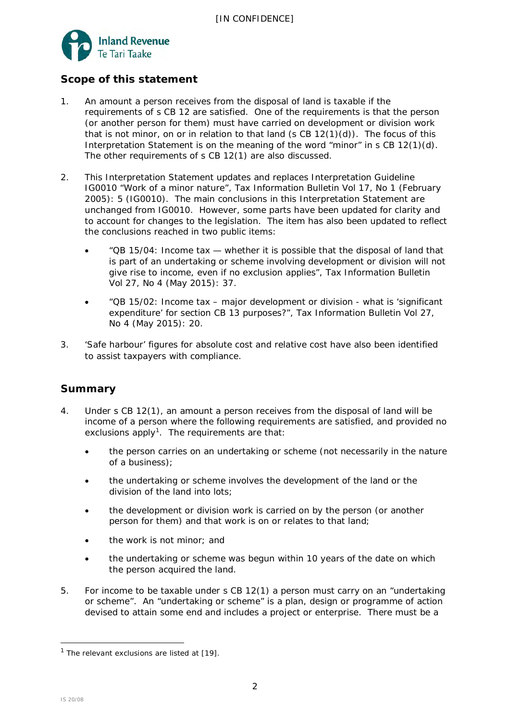

# **Scope of this statement**

- 1. An amount a person receives from the disposal of land is taxable if the requirements of s CB 12 are satisfied. One of the requirements is that the person (or another person for them) must have carried on development or division work that is not minor, on or in relation to that land (s  $CB 12(1)(d)$ ). The focus of this Interpretation Statement is on the meaning of the word "minor" in s CB 12(1)(d). The other requirements of s CB 12(1) are also discussed.
- 2. This Interpretation Statement updates and replaces Interpretation Guideline IG0010 "Work of a minor nature", *Tax Information Bulletin* Vol 17, No 1 (February 2005): 5 (IG0010). The main conclusions in this Interpretation Statement are unchanged from IG0010. However, some parts have been updated for clarity and to account for changes to the legislation. The item has also been updated to reflect the conclusions reached in two public items:
	- "QB 15/04: Income tax whether it is possible that the disposal of land that is part of an undertaking or scheme involving development or division will not give rise to income, even if no exclusion applies", *Tax Information Bulletin* Vol 27, No 4 (May 2015): 37.
	- "QB 15/02: Income tax major development or division what is 'significant expenditure' for section CB 13 purposes?", *Tax Information Bulletin* Vol 27, No 4 (May 2015): 20.
- 3. 'Safe harbour' figures for absolute cost and relative cost have also been identified to assist taxpayers with compliance.

# **Summary**

- 4. Under s CB 12(1), an amount a person receives from the disposal of land will be income of a person where the following requirements are satisfied, and provided no exclusions apply<sup>[1](#page-1-0)</sup>. The requirements are that:
	- the person carries on an undertaking or scheme (not necessarily in the nature of a business);
	- the undertaking or scheme involves the development of the land or the division of the land into lots;
	- the development or division work is carried on by the person (or another person for them) and that work is on or relates to that land;
	- the work is not minor; and
	- the undertaking or scheme was begun within 10 years of the date on which the person acquired the land.
- 5. For income to be taxable under s CB 12(1) a person must carry on an "undertaking or scheme". An "undertaking or scheme" is a plan, design or programme of action devised to attain some end and includes a project or enterprise. There must be a

<span id="page-1-0"></span> $1$  The relevant exclusions are listed at [\[19\]](#page-5-0).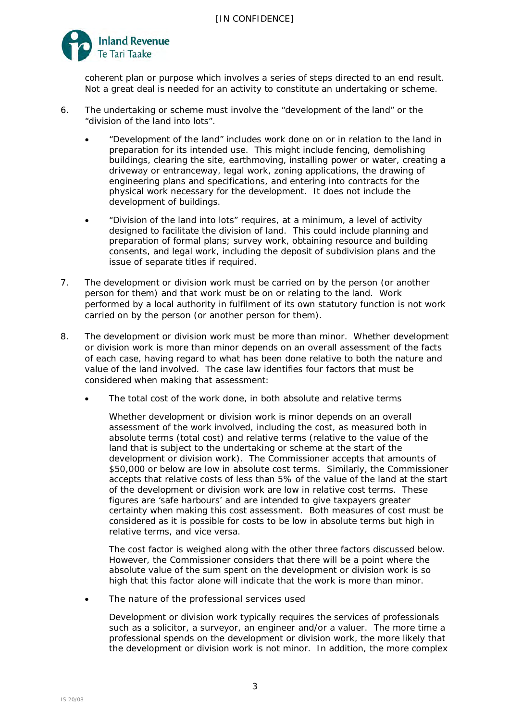

coherent plan or purpose which involves a series of steps directed to an end result. Not a great deal is needed for an activity to constitute an undertaking or scheme.

- 6. The undertaking or scheme must involve the "development of the land" or the "division of the land into lots".
	- "Development of the land" includes work done on or in relation to the land in preparation for its intended use. This might include fencing, demolishing buildings, clearing the site, earthmoving, installing power or water, creating a driveway or entranceway, legal work, zoning applications, the drawing of engineering plans and specifications, and entering into contracts for the physical work necessary for the development. It does not include the development of buildings.
	- "Division of the land into lots" requires, at a minimum, a level of activity designed to facilitate the division of land. This could include planning and preparation of formal plans; survey work, obtaining resource and building consents, and legal work, including the deposit of subdivision plans and the issue of separate titles if required.
- 7. The development or division work must be carried on by the person (or another person for them) and that work must be on or relating to the land. Work performed by a local authority in fulfilment of its own statutory function is not work carried on by the person (or another person for them).
- 8. The development or division work must be more than minor. Whether development or division work is more than minor depends on an overall assessment of the facts of each case, having regard to what has been done relative to both the nature and value of the land involved. The case law identifies four factors that must be considered when making that assessment:
	- *The total cost of the work done, in both absolute and relative terms*

Whether development or division work is minor depends on an overall assessment of the work involved, including the cost, as measured both in absolute terms (total cost) and relative terms (relative to the value of the land that is subject to the undertaking or scheme at the start of the development or division work). The Commissioner accepts that amounts of \$50,000 or below are low in absolute cost terms. Similarly, the Commissioner accepts that relative costs of less than 5% of the value of the land at the start of the development or division work are low in relative cost terms. These figures are 'safe harbours' and are intended to give taxpayers greater certainty when making this cost assessment. Both measures of cost must be considered as it is possible for costs to be low in absolute terms but high in relative terms, and vice versa.

The cost factor is weighed along with the other three factors discussed below. However, the Commissioner considers that there will be a point where the absolute value of the sum spent on the development or division work is so high that this factor alone will indicate that the work is more than minor.

# • *The nature of the professional services used*

Development or division work typically requires the services of professionals such as a solicitor, a surveyor, an engineer and/or a valuer. The more time a professional spends on the development or division work, the more likely that the development or division work is not minor. In addition, the more complex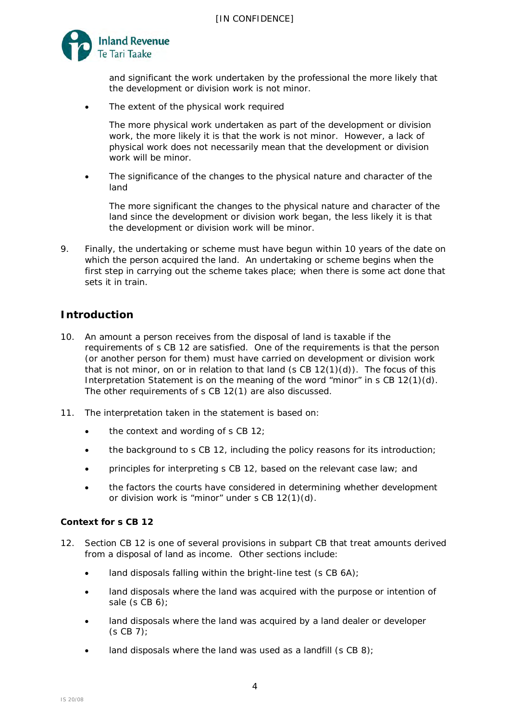

and significant the work undertaken by the professional the more likely that the development or division work is not minor.

• *The extent of the physical work required*

The more physical work undertaken as part of the development or division work, the more likely it is that the work is not minor. However, a lack of physical work does not necessarily mean that the development or division work will be minor.

• *The significance of the changes to the physical nature and character of the land*

The more significant the changes to the physical nature and character of the land since the development or division work began, the less likely it is that the development or division work will be minor.

9. Finally, the undertaking or scheme must have begun within 10 years of the date on which the person acquired the land. An undertaking or scheme begins when the first step in carrying out the scheme takes place; when there is some act done that sets it in train.

# **Introduction**

- 10. An amount a person receives from the disposal of land is taxable if the requirements of s CB 12 are satisfied. One of the requirements is that the person (or another person for them) must have carried on development or division work that is not minor, on or in relation to that land  $(s CB 12(1)(d))$ . The focus of this Interpretation Statement is on the meaning of the word "minor" in s CB 12(1)(d). The other requirements of s CB 12(1) are also discussed.
- 11. The interpretation taken in the statement is based on:
	- the context and wording of s CB 12;
	- the background to s CB 12, including the policy reasons for its introduction;
	- principles for interpreting s CB 12, based on the relevant case law; and
	- the factors the courts have considered in determining whether development or division work is "minor" under s CB 12(1)(d).

# **Context for s CB 12**

- 12. Section CB 12 is one of several provisions in subpart CB that treat amounts derived from a disposal of land as income. Other sections include:
	- land disposals falling within the bright-line test (s CB 6A);
	- land disposals where the land was acquired with the purpose or intention of sale (s CB 6);
	- land disposals where the land was acquired by a land dealer or developer (s CB 7);
	- land disposals where the land was used as a landfill (s CB 8);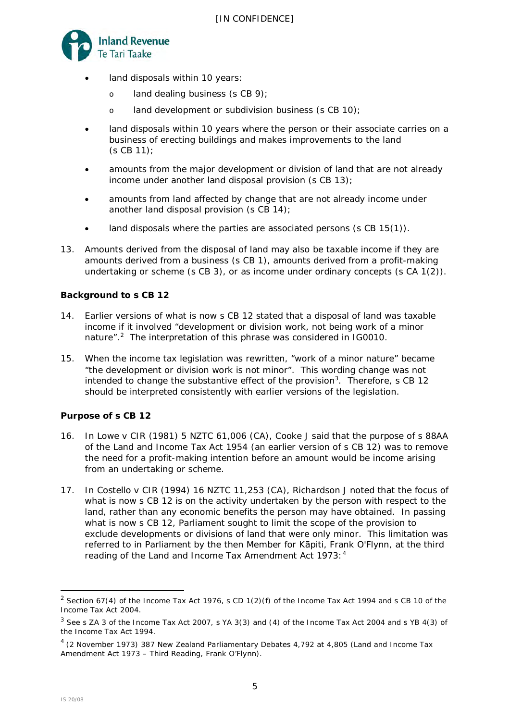

- land disposals within 10 years:
	- o land dealing business (s CB 9);
	- o land development or subdivision business (s CB 10);
- land disposals within 10 years where the person or their associate carries on a business of erecting buildings and makes improvements to the land (s CB 11);
- amounts from the major development or division of land that are not already income under another land disposal provision (s CB 13);
- amounts from land affected by change that are not already income under another land disposal provision (s CB 14);
- land disposals where the parties are associated persons (s CB 15(1)).
- 13. Amounts derived from the disposal of land may also be taxable income if they are amounts derived from a business (s CB 1), amounts derived from a profit-making undertaking or scheme (s CB 3), or as income under ordinary concepts (s CA 1(2)).

# **Background to s CB 12**

- 14. Earlier versions of what is now s CB 12 stated that a disposal of land was taxable income if it involved "development or division work, not being work of a minor nature".<sup>2</sup> The interpretation of this phrase was considered in IG0010.
- <span id="page-4-3"></span>15. When the income tax legislation was rewritten, "work of a minor nature" became "the development or division work is not minor". This wording change was not intended to change the substantive effect of the provision<sup>[3](#page-4-1)</sup>. Therefore, s CB 12 should be interpreted consistently with earlier versions of the legislation.

# **Purpose of s CB 12**

- 16. In *Lowe v CIR* (1981) 5 NZTC 61,006 (CA), Cooke J said that the purpose of s 88AA of the Land and Income Tax Act 1954 (an earlier version of s CB 12) was to remove the need for a profit-making intention before an amount would be income arising from an undertaking or scheme.
- 17. In *Costello v CIR* (1994) 16 NZTC 11,253 (CA)*,* Richardson J noted that the focus of what is now s CB 12 is on the activity undertaken by the person with respect to the land, rather than any economic benefits the person may have obtained. In passing what is now s CB 12, Parliament sought to limit the scope of the provision to exclude developments or divisions of land that were only minor. This limitation was referred to in Parliament by the then Member for Kāpiti, Frank O'Flynn, at the third reading of the Land and Income Tax Amendment Act 1973:<sup>[4](#page-4-2)</sup>

<span id="page-4-0"></span><sup>&</sup>lt;sup>2</sup> Section 67(4) of the Income Tax Act 1976, s CD 1(2)(f) of the Income Tax Act 1994 and s CB 10 of the Income Tax Act 2004.

<span id="page-4-1"></span><sup>3</sup> See s ZA 3 of the Income Tax Act 2007, s YA 3(3) and (4) of the Income Tax Act 2004 and s YB 4(3) of the Income Tax Act 1994.

<span id="page-4-2"></span><sup>4 (2</sup> November 1973) 387 *New Zealand Parliamentary Debates* 4,792 at 4,805 (Land and Income Tax Amendment Act 1973 – Third Reading, Frank O'Flynn).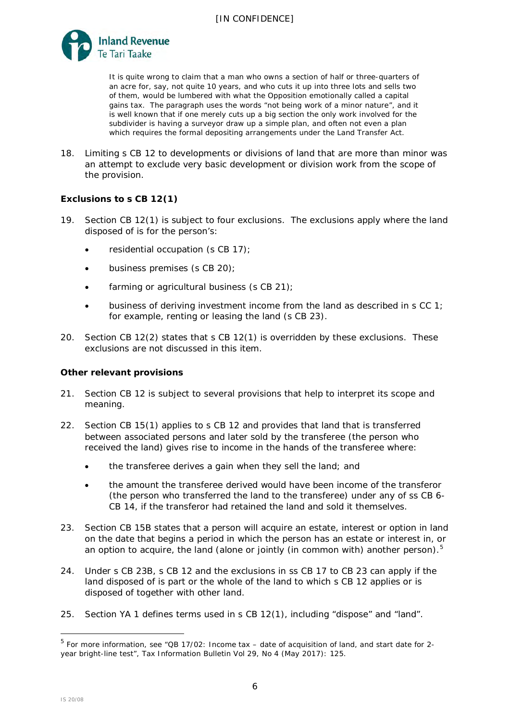

It is quite wrong to claim that a man who owns a section of half or three-quarters of an acre for, say, not quite 10 years, and who cuts it up into three lots and sells two of them, would be lumbered with what the Opposition emotionally called a capital gains tax. The paragraph uses the words "not being work of a minor nature", and it is well known that if one merely cuts up a big section the only work involved for the subdivider is having a surveyor draw up a simple plan, and often not even a plan which requires the formal depositing arrangements under the Land Transfer Act.

18. Limiting s CB 12 to developments or divisions of land that are more than minor was an attempt to exclude very basic development or division work from the scope of the provision.

# **Exclusions to s CB 12(1)**

- <span id="page-5-0"></span>19. Section CB 12(1) is subject to four exclusions. The exclusions apply where the land disposed of is for the person's:
	- residential occupation (s CB 17);
	- business premises (s CB 20);
	- farming or agricultural business (s CB 21);
	- business of deriving investment income from the land as described in s CC 1; for example, renting or leasing the land (s CB 23).
- 20. Section CB 12(2) states that s CB 12(1) is overridden by these exclusions. These exclusions are not discussed in this item.

# **Other relevant provisions**

- 21. Section CB 12 is subject to several provisions that help to interpret its scope and meaning.
- 22. Section CB 15(1) applies to s CB 12 and provides that land that is transferred between associated persons and later sold by the transferee (the person who received the land) gives rise to income in the hands of the transferee where:
	- the transferee derives a gain when they sell the land; and
	- the amount the transferee derived would have been income of the transferor (the person who transferred the land to the transferee) under any of ss CB 6- CB 14, if the transferor had retained the land and sold it themselves.
- 23. Section CB 15B states that a person will acquire an estate, interest or option in land on the date that begins a period in which the person has an estate or interest in, or an option to acquire, the land (alone or jointly (in common with) another person).<sup>[5](#page-5-1)</sup>
- 24. Under s CB 23B, s CB 12 and the exclusions in ss CB 17 to CB 23 can apply if the land disposed of is part or the whole of the land to which s CB 12 applies or is disposed of together with other land.
- 25. Section YA 1 defines terms used in s CB 12(1), including "dispose" and "land".

<span id="page-5-1"></span><sup>5</sup> For more information, see "QB 17/02: Income tax – date of acquisition of land, and start date for 2 year bright-line test", *Tax Information Bulletin* Vol 29, No 4 (May 2017): 125.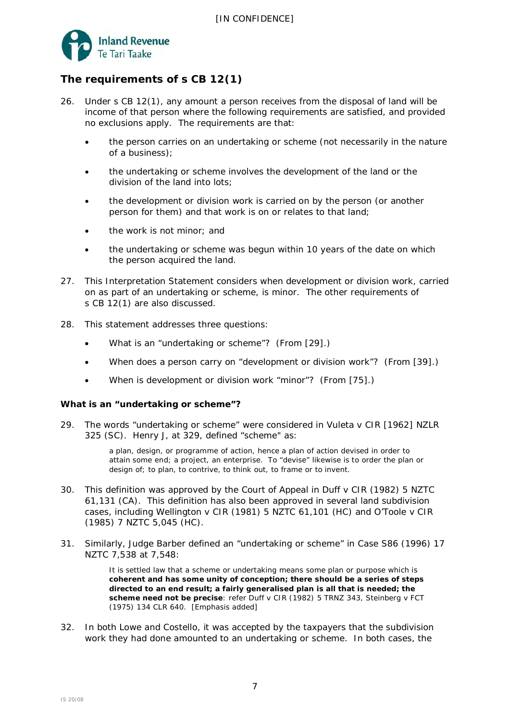

# **The requirements of s CB 12(1)**

- 26. Under s CB 12(1), any amount a person receives from the disposal of land will be income of that person where the following requirements are satisfied, and provided no exclusions apply. The requirements are that:
	- the person carries on an undertaking or scheme (not necessarily in the nature of a business);
	- the undertaking or scheme involves the development of the land or the division of the land into lots;
	- the development or division work is carried on by the person (or another person for them) and that work is on or relates to that land;
	- the work is not minor; and
	- the undertaking or scheme was begun within 10 years of the date on which the person acquired the land.
- 27. This Interpretation Statement considers when development or division work, carried on as part of an undertaking or scheme, is minor. The other requirements of s CB 12(1) are also discussed.
- 28. This statement addresses three questions:
	- What is an "undertaking or scheme"? (From [\[29\]](#page-6-0).)
	- When does a person carry on "development or division work"? (From [\[39\]](#page-8-0).)
	- When is development or division work "minor"? (From [\[75\]](#page-13-0).)

# **What is an "undertaking or scheme"?**

<span id="page-6-0"></span>29. The words "undertaking or scheme" were considered in *Vuleta v CIR* [1962] NZLR 325 (SC). Henry J, at 329, defined "scheme" as:

> a plan, design, or programme of action, hence a plan of action devised in order to attain some end; a project, an enterprise. To "devise" likewise is to order the plan or design of; to plan, to contrive, to think out, to frame or to invent.

- 30. This definition was approved by the Court of Appeal in *Duff v CIR* (1982) 5 NZTC 61,131 (CA). This definition has also been approved in several land subdivision cases, including *Wellington v CIR* (1981) 5 NZTC 61,101 (HC) and *O'Toole v CIR* (1985) 7 NZTC 5,045 (HC).
- 31. Similarly, Judge Barber defined an "undertaking or scheme" in *Case S86* (1996) 17 NZTC 7,538 at 7,548:

It is settled law that a scheme or undertaking means some plan or purpose which is **coherent and has some unity of conception; there should be a series of steps directed to an end result; a fairly generalised plan is all that is needed; the scheme need not be precise**: refer *Duff v CIR* (1982) 5 TRNZ 343, *Steinberg v FCT* (1975) 134 CLR 640. [Emphasis added]

32. In both *Lowe* and *Costello*, it was accepted by the taxpayers that the subdivision work they had done amounted to an undertaking or scheme. In both cases, the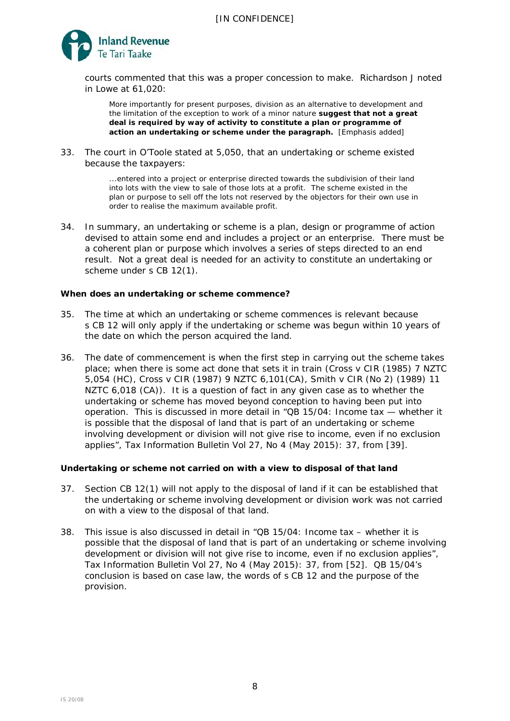

courts commented that this was a proper concession to make. Richardson J noted in *Lowe* at 61,020:

More importantly for present purposes, division as an alternative to development and the limitation of the exception to work of a minor nature **suggest that not a great deal is required by way of activity to constitute a plan or programme of action an undertaking or scheme under the paragraph.** [Emphasis added]

33. The court in *O'Toole* stated at 5,050, that an undertaking or scheme existed because the taxpayers:

> ...entered into a project or enterprise directed towards the subdivision of their land into lots with the view to sale of those lots at a profit. The scheme existed in the plan or purpose to sell off the lots not reserved by the objectors for their own use in order to realise the maximum available profit.

34. In summary, an undertaking or scheme is a plan, design or programme of action devised to attain some end and includes a project or an enterprise. There must be a coherent plan or purpose which involves a series of steps directed to an end result. Not a great deal is needed for an activity to constitute an undertaking or scheme under s CB 12(1).

# *When does an undertaking or scheme commence?*

- 35. The time at which an undertaking or scheme commences is relevant because s CB 12 will only apply if the undertaking or scheme was begun within 10 years of the date on which the person acquired the land.
- 36. The date of commencement is when the first step in carrying out the scheme takes place; when there is some act done that sets it in train (*Cross v CIR* (1985) 7 NZTC 5,054 (HC)*, Cross* v *CIR* (1987) 9 NZTC 6,101(CA), *Smith v CIR (No 2)* (1989) 11 NZTC 6,018 (CA)). It is a question of fact in any given case as to whether the undertaking or scheme has moved beyond conception to having been put into operation. This is discussed in more detail in "QB 15/04: Income tax — whether it is possible that the disposal of land that is part of an undertaking or scheme involving development or division will not give rise to income, even if no exclusion applies", *Tax Information Bulletin* Vol 27, No 4 (May 2015): 37, from [39].

# *Undertaking or scheme not carried on with a view to disposal of that land*

- <span id="page-7-0"></span>37. Section CB 12(1) will not apply to the disposal of land if it can be established that the undertaking or scheme involving development or division work was not carried on with a view to the disposal of that land.
- <span id="page-7-1"></span>38. This issue is also discussed in detail in "QB 15/04: Income tax – whether it is possible that the disposal of land that is part of an undertaking or scheme involving development or division will not give rise to income, even if no exclusion applies", *Tax Information Bulletin* Vol 27, No 4 (May 2015): 37, from [52]. QB 15/04's conclusion is based on case law, the words of s CB 12 and the purpose of the provision.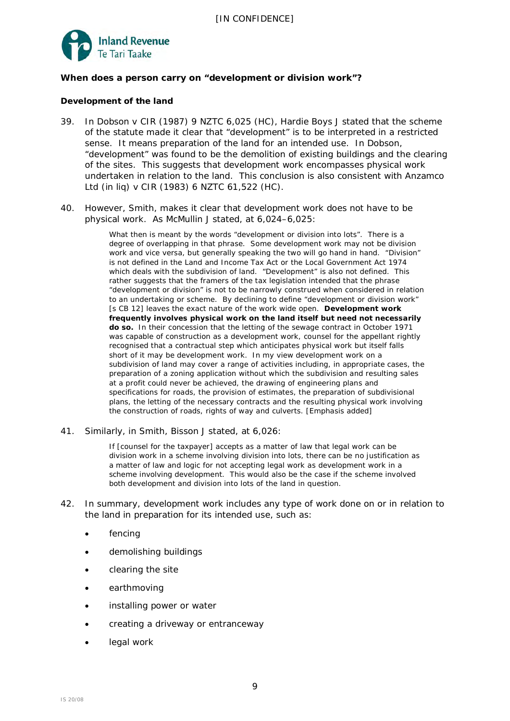

# **When does a person carry on "development or division work"?**

# *Development of the land*

- <span id="page-8-0"></span>39. In *Dobson v CIR* (1987) 9 NZTC 6,025 (HC), Hardie Boys J stated that the scheme of the statute made it clear that "development" is to be interpreted in a restricted sense. It means preparation of the land for an intended use. In *Dobson,* "development" was found to be the demolition of existing buildings and the clearing of the sites. This suggests that development work encompasses physical work undertaken in relation to the land. This conclusion is also consistent with *Anzamco Ltd (in liq) v CIR* (1983) 6 NZTC 61,522 (HC).
- 40. However, *Smith*, makes it clear that development work does not have to be physical work. As McMullin J stated, at 6,024–6,025:

What then is meant by the words "development or division into lots". There is a degree of overlapping in that phrase. Some development work may not be division work and vice versa, but generally speaking the two will go hand in hand. "Division" is not defined in the Land and Income Tax Act or the Local Government Act 1974 which deals with the subdivision of land. "Development" is also not defined. This rather suggests that the framers of the tax legislation intended that the phrase "development or division" is not to be narrowly construed when considered in relation to an undertaking or scheme. By declining to define "development or division work" [s CB 12] leaves the exact nature of the work wide open. **Development work frequently involves physical work on the land itself but need not necessarily do so.** In their concession that the letting of the sewage contract in October 1971 was capable of construction as a development work, counsel for the appellant rightly recognised that a contractual step which anticipates physical work but itself falls short of it may be development work. In my view development work on a subdivision of land may cover a range of activities including, in appropriate cases, the preparation of a zoning application without which the subdivision and resulting sales at a profit could never be achieved, the drawing of engineering plans and specifications for roads, the provision of estimates, the preparation of subdivisional plans, the letting of the necessary contracts and the resulting physical work involving the construction of roads, rights of way and culverts. [Emphasis added]

41. Similarly, in *Smith,* Bisson J stated, at 6,026:

If [counsel for the taxpayer] accepts as a matter of law that legal work can be division work in a scheme involving division into lots, there can be no justification as a matter of law and logic for not accepting legal work as development work in a scheme involving development. This would also be the case if the scheme involved both development and division into lots of the land in question.

- 42. In summary, development work includes any type of work done on or in relation to the land in preparation for its intended use, such as:
	- fencing
	- demolishing buildings
	- clearing the site
	- earthmoving
	- installing power or water
	- creating a driveway or entranceway
	- legal work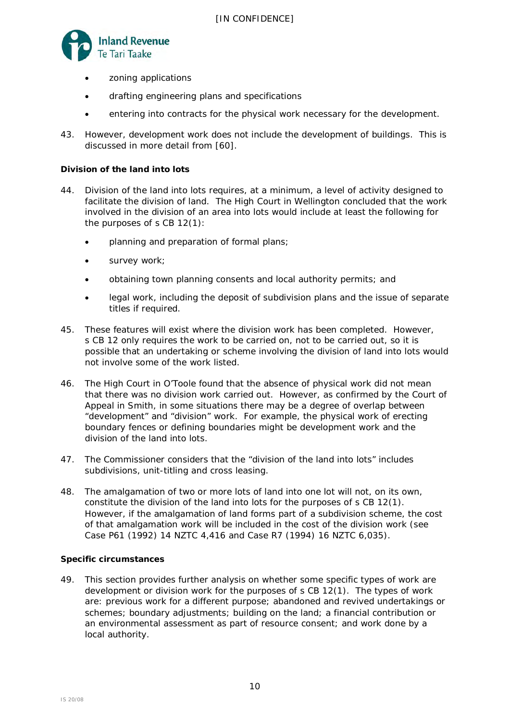

- zoning applications
- drafting engineering plans and specifications
- entering into contracts for the physical work necessary for the development.
- 43. However, development work does not include the development of buildings. This is discussed in more detail from [\[60\]](#page-11-0).

# *Division of the land into lots*

- 44. Division of the land into lots requires, at a minimum, a level of activity designed to facilitate the division of land. The High Court in *Wellington* concluded that the work involved in the division of an area into lots would include at least the following for the purposes of s CB 12(1):
	- planning and preparation of formal plans;
	- survey work;
	- obtaining town planning consents and local authority permits; and
	- legal work, including the deposit of subdivision plans and the issue of separate titles if required.
- 45. These features will exist where the division work has been completed. However, s CB 12 only requires the work to be carried on, not to be carried out, so it is possible that an undertaking or scheme involving the division of land into lots would not involve some of the work listed.
- 46. The High Court in *O'Toole* found that the absence of physical work did not mean that there was no division work carried out. However, as confirmed by the Court of Appeal in *Smith*, in some situations there may be a degree of overlap between "development" and "division" work. For example, the physical work of erecting boundary fences or defining boundaries might be development work and the division of the land into lots.
- 47. The Commissioner considers that the "division of the land into lots" includes subdivisions, unit-titling and cross leasing.
- 48. The amalgamation of two or more lots of land into one lot will not, on its own, constitute the division of the land into lots for the purposes of s CB 12(1). However, if the amalgamation of land forms part of a subdivision scheme, the cost of that amalgamation work will be included in the cost of the division work (see *Case P61* (1992) 14 NZTC 4,416 and *Case R7* (1994) 16 NZTC 6,035).

# *Specific circumstances*

49. This section provides further analysis on whether some specific types of work are development or division work for the purposes of s CB 12(1). The types of work are: previous work for a different purpose; abandoned and revived undertakings or schemes; boundary adjustments; building on the land; a financial contribution or an environmental assessment as part of resource consent; and work done by a local authority.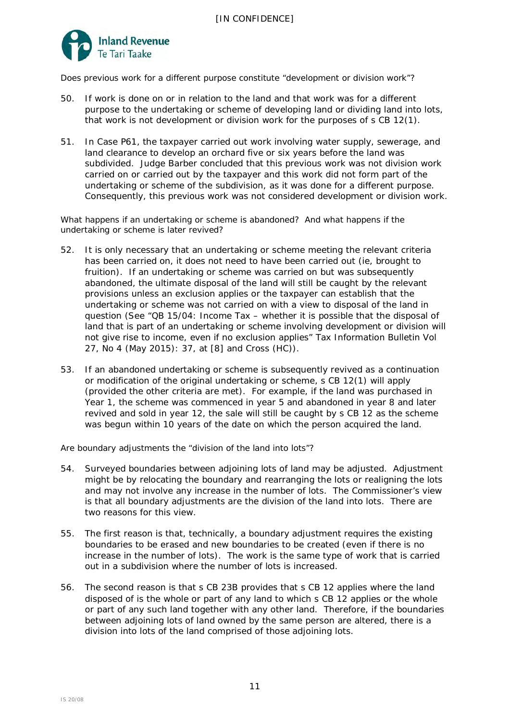

*Does previous work for a different purpose constitute "development or division work"?*

- 50. If work is done on or in relation to the land and that work was for a different purpose to the undertaking or scheme of developing land or dividing land into lots, that work is not development or division work for the purposes of s CB 12(1).
- 51. In *Case P61*, the taxpayer carried out work involving water supply, sewerage, and land clearance to develop an orchard five or six years before the land was subdivided. Judge Barber concluded that this previous work was not division work carried on or carried out by the taxpayer and this work did not form part of the undertaking or scheme of the subdivision, as it was done for a different purpose. Consequently, this previous work was not considered development or division work.

*What happens if an undertaking or scheme is abandoned? And what happens if the undertaking or scheme is later revived?* 

- 52. It is only necessary that an undertaking or scheme meeting the relevant criteria has been carried on, it does not need to have been carried out (ie, brought to fruition). If an undertaking or scheme was carried on but was subsequently abandoned, the ultimate disposal of the land will still be caught by the relevant provisions unless an exclusion applies or the taxpayer can establish that the undertaking or scheme was not carried on with a view to disposal of the land in question (See "QB 15/04: Income Tax – whether it is possible that the disposal of land that is part of an undertaking or scheme involving development or division will not give rise to income, even if no exclusion applies" *Tax Information Bulletin* Vol 27, No 4 (May 2015): 37, at [8] and *Cross* (HC)).
- 53. If an abandoned undertaking or scheme is subsequently revived as a continuation or modification of the original undertaking or scheme, s CB 12(1) will apply (provided the other criteria are met). For example, if the land was purchased in Year 1, the scheme was commenced in year 5 and abandoned in year 8 and later revived and sold in year 12, the sale will still be caught by s CB 12 as the scheme was begun within 10 years of the date on which the person acquired the land.

*Are boundary adjustments the "division of the land into lots"?*

- 54. Surveyed boundaries between adjoining lots of land may be adjusted. Adjustment might be by relocating the boundary and rearranging the lots or realigning the lots and may not involve any increase in the number of lots. The Commissioner's view is that all boundary adjustments are the division of the land into lots. There are two reasons for this view.
- 55. The first reason is that, technically, a boundary adjustment requires the existing boundaries to be erased and new boundaries to be created (even if there is no increase in the number of lots). The work is the same type of work that is carried out in a subdivision where the number of lots is increased.
- 56. The second reason is that s CB 23B provides that s CB 12 applies where the land disposed of is the whole or part of any land to which s CB 12 applies or the whole or part of any such land together with any other land. Therefore, if the boundaries between adjoining lots of land owned by the same person are altered, there is a division into lots of the land comprised of those adjoining lots.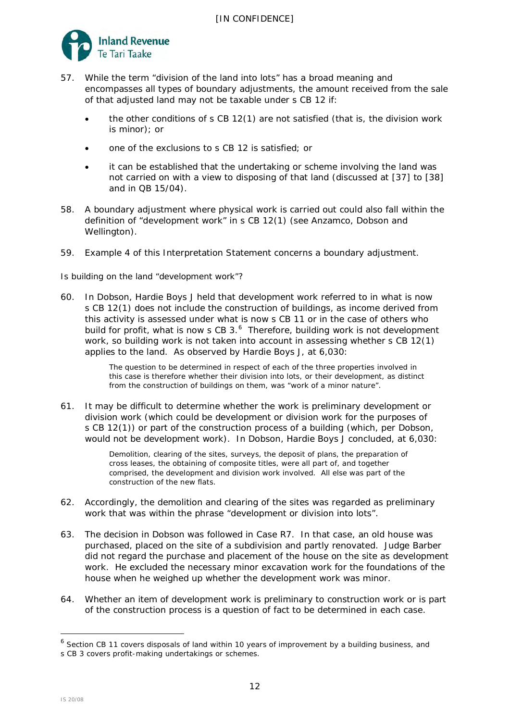

- 57. While the term "division of the land into lots" has a broad meaning and encompasses all types of boundary adjustments, the amount received from the sale of that adjusted land may not be taxable under s CB 12 if:
	- the other conditions of s CB 12(1) are not satisfied (that is, the division work is minor); or
	- one of the exclusions to s CB 12 is satisfied; or
	- it can be established that the undertaking or scheme involving the land was not carried on with a view to disposing of that land (discussed at [\[37\]](#page-7-0) to [\[38\]](#page-7-1) and in QB 15/04).
- 58. A boundary adjustment where physical work is carried out could also fall within the definition of "development work" in s CB 12(1) (see *Anzamco*, *Dobson* and *Wellington*).
- 59. Example 4 of this Interpretation Statement concerns a boundary adjustment.

# *Is building on the land "development work"?*

<span id="page-11-0"></span>60. In *Dobson,* Hardie Boys J held that development work referred to in what is now s CB 12(1) does not include the construction of buildings, as income derived from this activity is assessed under what is now s CB 11 or in the case of others who build for profit, what is now s CB  $3.6$  Therefore, building work is not development work, so building work is not taken into account in assessing whether s CB 12(1) applies to the land. As observed by Hardie Boys J, at 6,030:

> The question to be determined in respect of each of the three properties involved in this case is therefore whether their division into lots, or their development, as distinct from the construction of buildings on them, was "work of a minor nature".

61. It may be difficult to determine whether the work is preliminary development or division work (which could be development or division work for the purposes of s CB 12(1)) or part of the construction process of a building (which, per *Dobson,* would not be development work). In *Dobson,* Hardie Boys J concluded, at 6,030:

> Demolition, clearing of the sites, surveys, the deposit of plans, the preparation of cross leases, the obtaining of composite titles, were all part of, and together comprised, the development and division work involved. All else was part of the construction of the new flats.

- 62. Accordingly, the demolition and clearing of the sites was regarded as preliminary work that was within the phrase "development or division into lots".
- 63. The decision in *Dobson* was followed in *Case R7*. In that case, an old house was purchased, placed on the site of a subdivision and partly renovated. Judge Barber did not regard the purchase and placement of the house on the site as development work. He excluded the necessary minor excavation work for the foundations of the house when he weighed up whether the development work was minor.
- 64. Whether an item of development work is preliminary to construction work or is part of the construction process is a question of fact to be determined in each case.

<span id="page-11-1"></span><sup>&</sup>lt;sup>6</sup> Section CB 11 covers disposals of land within 10 years of improvement by a building business, and

s CB 3 covers profit-making undertakings or schemes.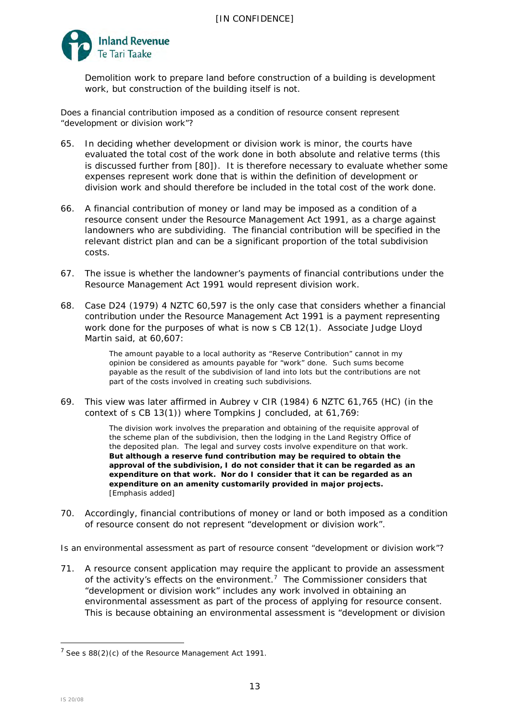

Demolition work to prepare land before construction of a building is development work, but construction of the building itself is not.

*Does a financial contribution imposed as a condition of resource consent represent "development or division work"?*

- 65. In deciding whether development or division work is minor, the courts have evaluated the total cost of the work done in both absolute and relative terms (this is discussed further from [\[80\]](#page-14-0)). It is therefore necessary to evaluate whether some expenses represent work done that is within the definition of development or division work and should therefore be included in the total cost of the work done.
- 66. A financial contribution of money or land may be imposed as a condition of a resource consent under the Resource Management Act 1991, as a charge against landowners who are subdividing. The financial contribution will be specified in the relevant district plan and can be a significant proportion of the total subdivision costs.
- 67. The issue is whether the landowner's payments of financial contributions under the Resource Management Act 1991 would represent division work.
- 68. *Case D24* (1979) 4 NZTC 60,597 is the only case that considers whether a financial contribution under the Resource Management Act 1991 is a payment representing work done for the purposes of what is now s CB 12(1). Associate Judge Lloyd Martin said, at 60,607:

The amount payable to a local authority as "Reserve Contribution" cannot in my opinion be considered as amounts payable for "work" done. Such sums become payable as the result of the subdivision of land into lots but the contributions are not part of the costs involved in creating such subdivisions.

69. This view was later affirmed in *Aubrey v CIR* (1984) 6 NZTC 61,765 (HC) (in the context of s CB 13(1)) where Tompkins J concluded, at 61,769:

> The division work involves the preparation and obtaining of the requisite approval of the scheme plan of the subdivision, then the lodging in the Land Registry Office of the deposited plan. The legal and survey costs involve expenditure on that work. **But although a reserve fund contribution may be required to obtain the approval of the subdivision, I do not consider that it can be regarded as an expenditure on that work. Nor do I consider that it can be regarded as an expenditure on an amenity customarily provided in major projects.** [Emphasis added]

70. Accordingly, financial contributions of money or land or both imposed as a condition of resource consent do not represent "development or division work".

*Is an environmental assessment as part of resource consent "development or division work"?*

71. A resource consent application may require the applicant to provide an assessment of the activity's effects on the environment.<sup>[7](#page-12-0)</sup> The Commissioner considers that "development or division work" includes any work involved in obtaining an environmental assessment as part of the process of applying for resource consent. This is because obtaining an environmental assessment is "development or division

<span id="page-12-0"></span> $7$  See s 88(2)(c) of the Resource Management Act 1991.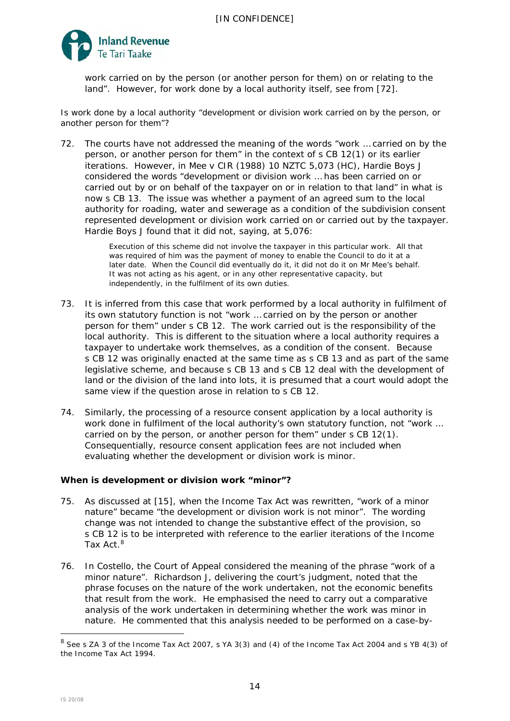

work carried on by the person (or another person for them) on or relating to the land". However, for work done by a local authority itself, see from [\[72\]](#page-13-1).

*Is work done by a local authority "development or division work carried on by the person, or another person for them"?* 

<span id="page-13-1"></span>72. The courts have not addressed the meaning of the words "work … carried on by the person, or another person for them" in the context of s CB 12(1) or its earlier iterations. However, in *Mee v CIR* (1988) 10 NZTC 5,073 (HC), Hardie Boys J considered the words "development or division work … has been carried on or carried out by or on behalf of the taxpayer on or in relation to that land" in what is now s CB 13. The issue was whether a payment of an agreed sum to the local authority for roading, water and sewerage as a condition of the subdivision consent represented development or division work carried on or carried out by the taxpayer. Hardie Boys J found that it did not, saying, at 5,076:

> Execution of this scheme did not involve the taxpayer in this particular work. All that was required of him was the payment of money to enable the Council to do it at a later date. When the Council did eventually do it, it did not do it on Mr Mee's behalf. It was not acting as his agent, or in any other representative capacity, but independently, in the fulfilment of its own duties.

- 73. It is inferred from this case that work performed by a local authority in fulfilment of its own statutory function is not "work … carried on by the person or another person for them" under s CB 12. The work carried out is the responsibility of the local authority. This is different to the situation where a local authority requires a taxpayer to undertake work themselves, as a condition of the consent. Because s CB 12 was originally enacted at the same time as s CB 13 and as part of the same legislative scheme, and because s CB 13 and s CB 12 deal with the development of land or the division of the land into lots, it is presumed that a court would adopt the same view if the question arose in relation to s CB 12.
- 74. Similarly, the processing of a resource consent application by a local authority is work done in fulfilment of the local authority's own statutory function, not "work … carried on by the person, or another person for them" under s CB 12(1). Consequentially, resource consent application fees are not included when evaluating whether the development or division work is minor.

# **When is development or division work "minor"?**

- <span id="page-13-0"></span>75. As discussed at [\[15\]](#page-4-3), when the Income Tax Act was rewritten, "work of a minor nature" became "the development or division work is not minor". The wording change was not intended to change the substantive effect of the provision, so s CB 12 is to be interpreted with reference to the earlier iterations of the Income Tax Act.<sup>[8](#page-13-2)</sup>
- 76. In *Costello,* the Court of Appeal considered the meaning of the phrase "work of a minor nature". Richardson J, delivering the court's judgment, noted that the phrase focuses on the nature of the work undertaken, not the economic benefits that result from the work. He emphasised the need to carry out a comparative analysis of the work undertaken in determining whether the work was minor in nature. He commented that this analysis needed to be performed on a case-by-

<span id="page-13-2"></span><sup>&</sup>lt;sup>8</sup> See s ZA 3 of the Income Tax Act 2007, s YA 3(3) and (4) of the Income Tax Act 2004 and s YB 4(3) of the Income Tax Act 1994.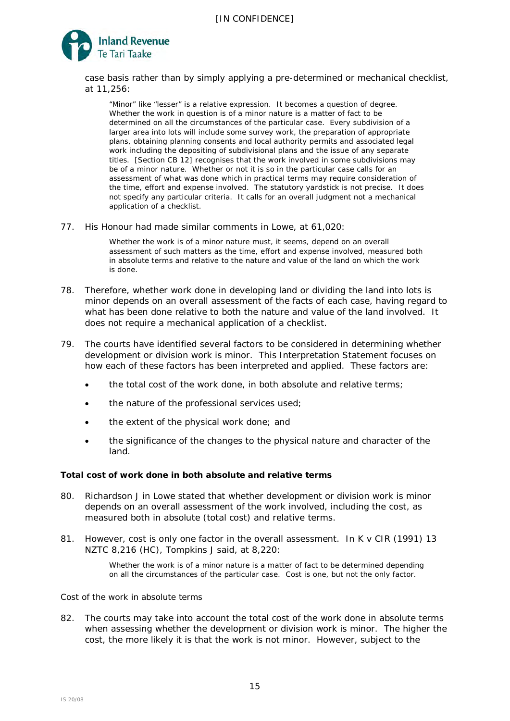

case basis rather than by simply applying a pre-determined or mechanical checklist, at 11,256:

"Minor" like "lesser" is a relative expression. It becomes a question of degree. Whether the work in question is of a minor nature is a matter of fact to be determined on all the circumstances of the particular case. Every subdivision of a larger area into lots will include some survey work, the preparation of appropriate plans, obtaining planning consents and local authority permits and associated legal work including the depositing of subdivisional plans and the issue of any separate titles. [Section CB 12] recognises that the work involved in some subdivisions may be of a minor nature. Whether or not it is so in the particular case calls for an assessment of what was done which in practical terms may require consideration of the time, effort and expense involved. The statutory yardstick is not precise. It does not specify any particular criteria. It calls for an overall judgment not a mechanical application of a checklist.

77. His Honour had made similar comments in *Lowe,* at 61,020:

Whether the work is of a minor nature must, it seems, depend on an overall assessment of such matters as the time, effort and expense involved, measured both in absolute terms and relative to the nature and value of the land on which the work is done.

- 78. Therefore, whether work done in developing land or dividing the land into lots is minor depends on an overall assessment of the facts of each case, having regard to what has been done relative to both the nature and value of the land involved. It does not require a mechanical application of a checklist.
- 79. The courts have identified several factors to be considered in determining whether development or division work is minor. This Interpretation Statement focuses on how each of these factors has been interpreted and applied. These factors are:
	- the total cost of the work done, in both absolute and relative terms;
	- the nature of the professional services used;
	- the extent of the physical work done; and
	- the significance of the changes to the physical nature and character of the land.

# *Total cost of work done in both absolute and relative terms*

- <span id="page-14-0"></span>80. Richardson J in *Lowe* stated that whether development or division work is minor depends on an overall assessment of the work involved, including the cost, as measured both in absolute (total cost) and relative terms.
- 81. However, cost is only one factor in the overall assessment. In *K v CIR* (1991) 13 NZTC 8,216 (HC), Tompkins J said, at 8,220:

Whether the work is of a minor nature is a matter of fact to be determined depending on all the circumstances of the particular case. Cost is one, but not the only factor.

### *Cost of the work in absolute terms*

82. The courts may take into account the total cost of the work done in absolute terms when assessing whether the development or division work is minor. The higher the cost, the more likely it is that the work is not minor. However, subject to the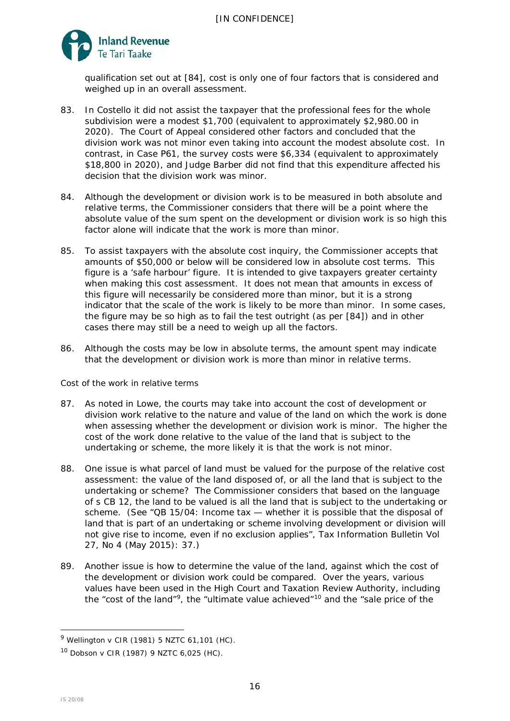

qualification set out at [\[84\]](#page-15-0), cost is only one of four factors that is considered and weighed up in an overall assessment.

- 83. In *Costello* it did not assist the taxpayer that the professional fees for the whole subdivision were a modest \$1,700 (equivalent to approximately \$2,980.00 in 2020). The Court of Appeal considered other factors and concluded that the division work was not minor even taking into account the modest absolute cost. In contrast, in *Case P61,* the survey costs were \$6,334 (equivalent to approximately \$18,800 in 2020), and Judge Barber did not find that this expenditure affected his decision that the division work was minor.
- <span id="page-15-0"></span>84. Although the development or division work is to be measured in both absolute and relative terms, the Commissioner considers that there will be a point where the absolute value of the sum spent on the development or division work is so high this factor alone will indicate that the work is more than minor.
- 85. To assist taxpayers with the absolute cost inquiry, the Commissioner accepts that amounts of \$50,000 or below will be considered low in absolute cost terms. This figure is a 'safe harbour' figure. It is intended to give taxpayers greater certainty when making this cost assessment. It does not mean that amounts in excess of this figure will necessarily be considered more than minor, but it is a strong indicator that the scale of the work is likely to be more than minor. In some cases, the figure may be so high as to fail the test outright (as per [\[84\]](#page-15-0)) and in other cases there may still be a need to weigh up all the factors.
- 86. Although the costs may be low in absolute terms, the amount spent may indicate that the development or division work is more than minor in relative terms.

# *Cost of the work in relative terms*

- 87. As noted in *Lowe*, the courts may take into account the cost of development or division work relative to the nature and value of the land on which the work is done when assessing whether the development or division work is minor. The higher the cost of the work done relative to the value of the land that is subject to the undertaking or scheme, the more likely it is that the work is not minor.
- 88. One issue is what parcel of land must be valued for the purpose of the relative cost assessment: the value of the land disposed of, or all the land that is subject to the undertaking or scheme? The Commissioner considers that based on the language of s CB 12, the land to be valued is all the land that is subject to the undertaking or scheme. (See "QB 15/04: Income tax — whether it is possible that the disposal of land that is part of an undertaking or scheme involving development or division will not give rise to income, even if no exclusion applies", *Tax Information Bulletin* Vol 27, No 4 (May 2015): 37.)
- 89. Another issue is how to determine the value of the land, against which the cost of the development or division work could be compared. Over the years, various values have been used in the High Court and Taxation Review Authority, including the "cost of the land"<sup>9</sup>, the "ultimate value achieved"<sup>[10](#page-15-2)</sup> and the "sale price of the

<span id="page-15-1"></span><sup>9</sup> *Wellington v CIR* (1981) 5 NZTC 61,101 (HC).

<span id="page-15-2"></span><sup>10</sup> *Dobson v CIR* (1987) 9 NZTC 6,025 (HC).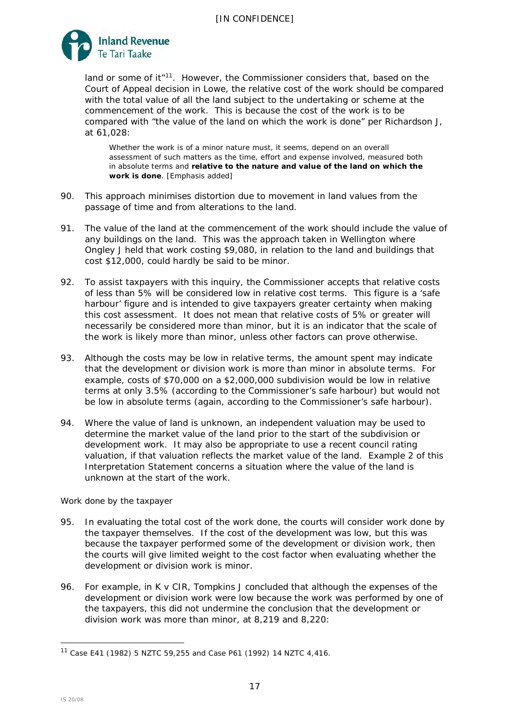

land or some of it<sup>"[11](#page-16-0)</sup>. However, the Commissioner considers that, based on the Court of Appeal decision in *Lowe*, the relative cost of the work should be compared with the total value of all the land subject to the undertaking or scheme at the commencement of the work. This is because the cost of the work is to be compared with "the value of the land on which the work is done" per Richardson J, at 61,028:

Whether the work is of a minor nature must, it seems, depend on an overall assessment of such matters as the time, effort and expense involved, measured both in absolute terms and **relative to the nature and value of the land on which the work is done**. [Emphasis added]

- 90. This approach minimises distortion due to movement in land values from the passage of time and from alterations to the land.
- 91. The value of the land at the commencement of the work should include the value of any buildings on the land. This was the approach taken in *Wellington* where Ongley J held that work costing \$9,080, in relation to the land and buildings that cost \$12,000, could hardly be said to be minor.
- 92. To assist taxpayers with this inquiry, the Commissioner accepts that relative costs of less than 5% will be considered low in relative cost terms. This figure is a 'safe harbour' figure and is intended to give taxpayers greater certainty when making this cost assessment. It does not mean that relative costs of 5% or greater will necessarily be considered more than minor, but it is an indicator that the scale of the work is likely more than minor, unless other factors can prove otherwise.
- 93. Although the costs may be low in relative terms, the amount spent may indicate that the development or division work is more than minor in absolute terms. For example, costs of \$70,000 on a \$2,000,000 subdivision would be low in relative terms at only 3.5% (according to the Commissioner's safe harbour) but would not be low in absolute terms (again, according to the Commissioner's safe harbour).
- 94. Where the value of land is unknown, an independent valuation may be used to determine the market value of the land prior to the start of the subdivision or development work. It may also be appropriate to use a recent council rating valuation, if that valuation reflects the market value of the land. Example 2 of this Interpretation Statement concerns a situation where the value of the land is unknown at the start of the work.

# *Work done by the taxpayer*

- 95. In evaluating the total cost of the work done, the courts will consider work done by the taxpayer themselves. If the cost of the development was low, but this was because the taxpayer performed some of the development or division work, then the courts will give limited weight to the cost factor when evaluating whether the development or division work is minor.
- 96. For example, in *K v CIR*, Tompkins J concluded that although the expenses of the development or division work were low because the work was performed by one of the taxpayers, this did not undermine the conclusion that the development or division work was more than minor, at 8,219 and 8,220:

<span id="page-16-0"></span><sup>11</sup> *Case E41* (1982) 5 NZTC 59,255 and *Case P61* (1992) 14 NZTC 4,416.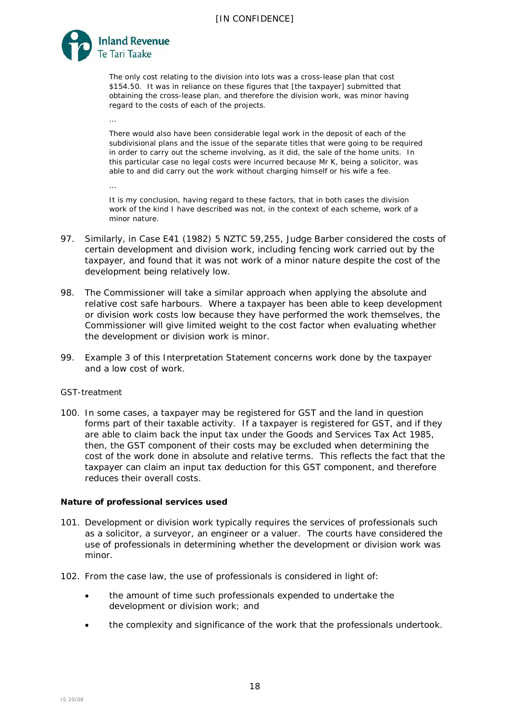

…

…

The only cost relating to the division into lots was a cross-lease plan that cost \$154.50. It was in reliance on these figures that [the taxpayer] submitted that obtaining the cross-lease plan, and therefore the division work, was minor having regard to the costs of each of the projects.

There would also have been considerable legal work in the deposit of each of the subdivisional plans and the issue of the separate titles that were going to be required in order to carry out the scheme involving, as it did, the sale of the home units. In this particular case no legal costs were incurred because Mr K, being a solicitor, was able to and did carry out the work without charging himself or his wife a fee.

It is my conclusion, having regard to these factors, that in both cases the division work of the kind I have described was not, in the context of each scheme, work of a minor nature.

- 97. Similarly, in *Case E41* (1982) 5 NZTC 59,255, Judge Barber considered the costs of certain development and division work, including fencing work carried out by the taxpayer, and found that it was not work of a minor nature despite the cost of the development being relatively low.
- 98. The Commissioner will take a similar approach when applying the absolute and relative cost safe harbours. Where a taxpayer has been able to keep development or division work costs low because they have performed the work themselves, the Commissioner will give limited weight to the cost factor when evaluating whether the development or division work is minor.
- 99. Example 3 of this Interpretation Statement concerns work done by the taxpayer and a low cost of work.

# *GST-treatment*

100. In some cases, a taxpayer may be registered for GST and the land in question forms part of their taxable activity. If a taxpayer is registered for GST, and if they are able to claim back the input tax under the Goods and Services Tax Act 1985, then, the GST component of their costs may be excluded when determining the cost of the work done in absolute and relative terms. This reflects the fact that the taxpayer can claim an input tax deduction for this GST component, and therefore reduces their overall costs.

#### *Nature of professional services used*

- 101. Development or division work typically requires the services of professionals such as a solicitor, a surveyor, an engineer or a valuer. The courts have considered the use of professionals in determining whether the development or division work was minor.
- 102. From the case law, the use of professionals is considered in light of:
	- the amount of time such professionals expended to undertake the development or division work; and
	- the complexity and significance of the work that the professionals undertook.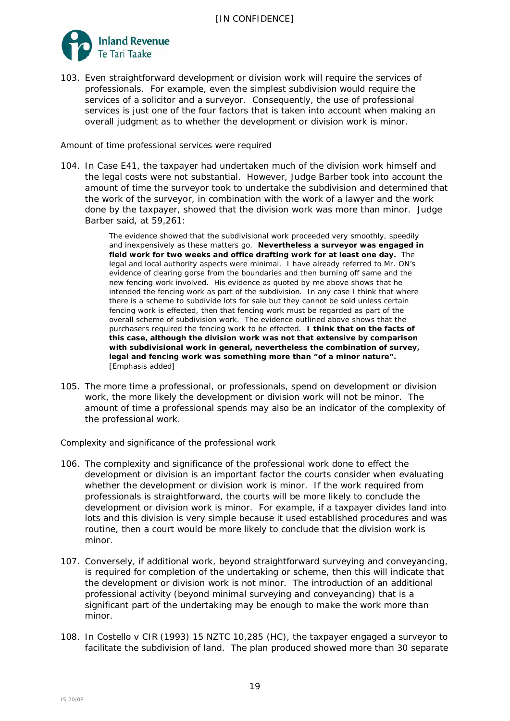

103. Even straightforward development or division work will require the services of professionals. For example, even the simplest subdivision would require the services of a solicitor and a surveyor. Consequently, the use of professional services is just one of the four factors that is taken into account when making an overall judgment as to whether the development or division work is minor.

### *Amount of time professional services were required*

104. In *Case E41,* the taxpayer had undertaken much of the division work himself and the legal costs were not substantial. However, Judge Barber took into account the amount of time the surveyor took to undertake the subdivision and determined that the work of the surveyor, in combination with the work of a lawyer and the work done by the taxpayer, showed that the division work was more than minor. Judge Barber said, at 59,261:

> The evidence showed that the subdivisional work proceeded very smoothly, speedily and inexpensively as these matters go. **Nevertheless a surveyor was engaged in field work for two weeks and office drafting work for at least one day.** The legal and local authority aspects were minimal. I have already referred to Mr. ON's evidence of clearing gorse from the boundaries and then burning off same and the new fencing work involved. His evidence as quoted by me above shows that he intended the fencing work as part of the subdivision. In any case I think that where there is a scheme to subdivide lots for sale but they cannot be sold unless certain fencing work is effected, then that fencing work must be regarded as part of the overall scheme of subdivision work. The evidence outlined above shows that the purchasers required the fencing work to be effected. **I think that on the facts of this case, although the division work was not that extensive by comparison with subdivisional work in general, nevertheless the combination of survey, legal and fencing work was something more than "of a minor nature".**  [Emphasis added]

105. The more time a professional, or professionals, spend on development or division work, the more likely the development or division work will not be minor. The amount of time a professional spends may also be an indicator of the complexity of the professional work.

*Complexity and significance of the professional work*

- 106. The complexity and significance of the professional work done to effect the development or division is an important factor the courts consider when evaluating whether the development or division work is minor. If the work required from professionals is straightforward, the courts will be more likely to conclude the development or division work is minor. For example, if a taxpayer divides land into lots and this division is very simple because it used established procedures and was routine, then a court would be more likely to conclude that the division work is minor.
- 107. Conversely, if additional work, beyond straightforward surveying and conveyancing, is required for completion of the undertaking or scheme, then this will indicate that the development or division work is not minor. The introduction of an additional professional activity (beyond minimal surveying and conveyancing) that is a significant part of the undertaking may be enough to make the work more than minor.
- 108. In *Costello v CIR* (1993) 15 NZTC 10,285 (HC)*,* the taxpayer engaged a surveyor to facilitate the subdivision of land. The plan produced showed more than 30 separate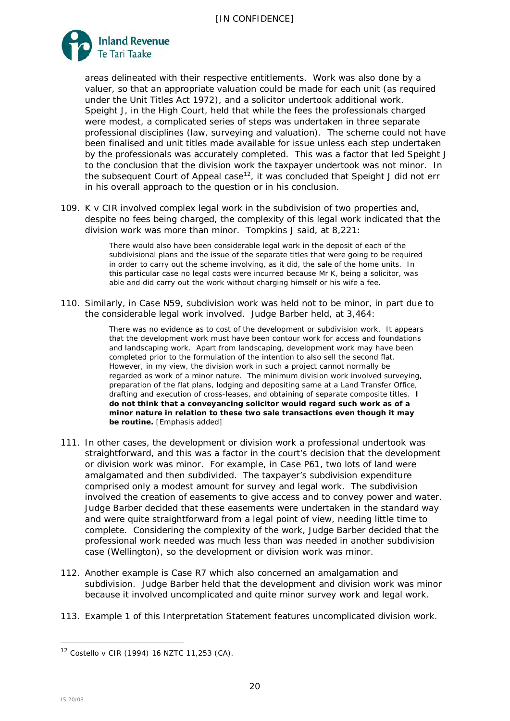

areas delineated with their respective entitlements. Work was also done by a valuer, so that an appropriate valuation could be made for each unit (as required under the Unit Titles Act 1972), and a solicitor undertook additional work. Speight J, in the High Court, held that while the fees the professionals charged were modest, a complicated series of steps was undertaken in three separate professional disciplines (law, surveying and valuation). The scheme could not have been finalised and unit titles made available for issue unless each step undertaken by the professionals was accurately completed. This was a factor that led Speight J to the conclusion that the division work the taxpayer undertook was not minor. In the subsequent Court of Appeal case<sup>12</sup>, it was concluded that Speight J did not err in his overall approach to the question or in his conclusion.

109. *K v CIR* involved complex legal work in the subdivision of two properties and, despite no fees being charged, the complexity of this legal work indicated that the division work was more than minor. Tompkins J said, at 8,221:

> There would also have been considerable legal work in the deposit of each of the subdivisional plans and the issue of the separate titles that were going to be required in order to carry out the scheme involving, as it did, the sale of the home units. In this particular case no legal costs were incurred because Mr K, being a solicitor, was able and did carry out the work without charging himself or his wife a fee.

110. Similarly, in *Case N59,* subdivision work was held not to be minor, in part due to the considerable legal work involved. Judge Barber held, at 3,464:

> There was no evidence as to cost of the development or subdivision work. It appears that the development work must have been contour work for access and foundations and landscaping work. Apart from landscaping, development work may have been completed prior to the formulation of the intention to also sell the second flat. However, in my view, the division work in such a project cannot normally be regarded as work of a minor nature. The minimum division work involved surveying, preparation of the flat plans, lodging and depositing same at a Land Transfer Office, drafting and execution of cross-leases, and obtaining of separate composite titles. **I do not think that a conveyancing solicitor would regard such work as of a minor nature in relation to these two sale transactions even though it may be routine.** [Emphasis added]

- 111. In other cases, the development or division work a professional undertook was straightforward, and this was a factor in the court's decision that the development or division work was minor. For example, in *Case P61*, two lots of land were amalgamated and then subdivided. The taxpayer's subdivision expenditure comprised only a modest amount for survey and legal work. The subdivision involved the creation of easements to give access and to convey power and water. Judge Barber decided that these easements were undertaken in the standard way and were quite straightforward from a legal point of view, needing little time to complete. Considering the complexity of the work, Judge Barber decided that the professional work needed was much less than was needed in another subdivision case (*Wellington*), so the development or division work was minor.
- 112. Another example is *Case R7* which also concerned an amalgamation and subdivision. Judge Barber held that the development and division work was minor because it involved uncomplicated and quite minor survey work and legal work.
- 113. Example 1 of this Interpretation Statement features uncomplicated division work.

<span id="page-19-0"></span><sup>12</sup> *Costello v CIR* (1994) 16 NZTC 11,253 (CA).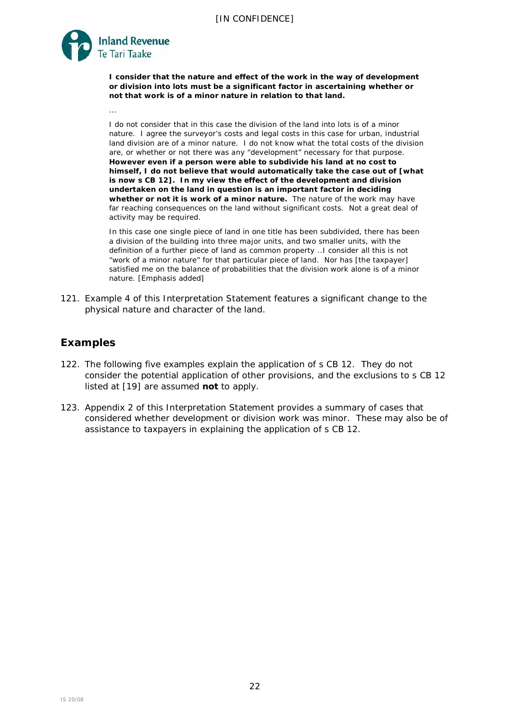

- 57. While the term "division of the land into lots" has a broad meaning and encompasses all types of boundary adjustments, the amount received from the sale of that adjusted land may not be taxable under s CB 12 if:
	- the other conditions of s CB 12(1) are not satisfied (that is, the division work  $\mathbf{x}$  $is minor):$  or
	- one of the exclusions to s CB 12 is satisfied; or  $\mathbf{x}$
	- it can be established that the undertaking or scheme involving the land was  $\mathbf{v}$ not carried on with a view to disposing of that land (discussed at [37] to [38] and in QB 15/04).
- 58. A boundary adjustment where physical work is carried out could also fall within the definition of "development work" in s CB 12(1) (see Anamco, Dobsonand **Wellington**
- 59. Example 4 of this Interpretation Statement concerns a boundary adjustment.

# Is building on the land "development work"

In Dobson, Hardie Boys J held that development work referred to in what is now 60. s CB 12(1) does not include the construction of buildings, as income derived from this activity is assessed under what is now s CB 11 or in the case of others who build for profit, what is now s CB 3.<sup>6</sup> Therefore, building work is not development work, so building work is not taken into account in assessing whether s CB 12(1) applies to the land. As observed by Hardie Boys J, at 6,030:

> The question to be determined in respect of each of the three properties involved in this case is therefore whether their division into lots, or their development, as distinct from the construction of buildings on them, was "work of a minor nature".

61. It may be difficult to determine whether the work is preliminary development or division work (which could be development or division work for the purposes of s CB 12(1)) or part of the construction process of a building (which, per Dobson would not be development work). In **Dobson** Hardie Boys J concluded, at 6,030;

> Demolition, clearing of the sites, surveys, the deposit of plans, the preparation of cross leases, the obtaining of composite titles, were all part of, and together comprised, the development and division work involved. All else was part of the construction of the new flats.

- 62. Accordingly, the demolition and clearing of the sites was regarded as preliminary work that was within the phrase "development or division into lots".
- 63. The decision in Dobsonwas followed in Case R7 In that case, an old house was purchased, placed on the site of a subdivision and partly renovated. Judge Barber did not regard the purchase and placement of the house on the site as development work. He excluded the necessary minor excavation work for the foundations of the house when he weighed up whether the development work was minor.
- 64. Whether an item of development work is preliminary to construction work or is part of the construction process is a question of fact to be determined in each case.

<sup>&</sup>lt;sup>6</sup> Section CB 11 covers disposals of land within 10 years of improvement by a building business, and

s CB 3 covers profit-making undertakings or schemes.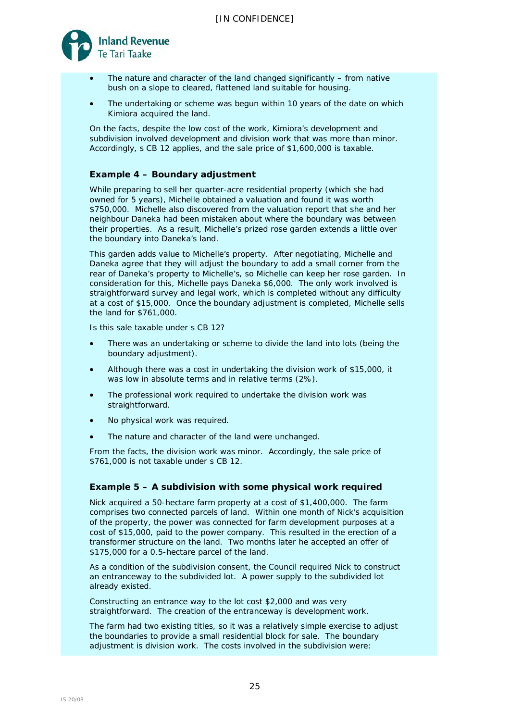

- The nature and character of the land changed significantly from native bush on a slope to cleared, flattened land suitable for housing.
- The undertaking or scheme was begun within 10 years of the date on which Kimiora acquired the land.

On the facts, despite the low cost of the work, Kimiora's development and subdivision involved development and division work that was more than minor. Accordingly, s CB 12 applies, and the sale price of \$1,600,000 is taxable.

# **Example 4 – Boundary adjustment**

While preparing to sell her quarter-acre residential property (which she had owned for 5 years), Michelle obtained a valuation and found it was worth \$750,000. Michelle also discovered from the valuation report that she and her neighbour Daneka had been mistaken about where the boundary was between their properties. As a result, Michelle's prized rose garden extends a little over the boundary into Daneka's land.

This garden adds value to Michelle's property. After negotiating, Michelle and Daneka agree that they will adjust the boundary to add a small corner from the rear of Daneka's property to Michelle's, so Michelle can keep her rose garden. In consideration for this, Michelle pays Daneka \$6,000. The only work involved is straightforward survey and legal work, which is completed without any difficulty at a cost of \$15,000. Once the boundary adjustment is completed, Michelle sells the land for \$761,000.

Is this sale taxable under s CB 12?

- There was an undertaking or scheme to divide the land into lots (being the boundary adjustment).
- Although there was a cost in undertaking the division work of \$15,000, it was low in absolute terms and in relative terms (2%).
- The professional work required to undertake the division work was straightforward.
- No physical work was required.
- The nature and character of the land were unchanged.

From the facts, the division work was minor. Accordingly, the sale price of \$761,000 is not taxable under s CB 12.

# **Example 5 – A subdivision with some physical work required**

Nick acquired a 50-hectare farm property at a cost of \$1,400,000. The farm comprises two connected parcels of land. Within one month of Nick's acquisition of the property, the power was connected for farm development purposes at a cost of \$15,000, paid to the power company. This resulted in the erection of a transformer structure on the land. Two months later he accepted an offer of \$175,000 for a 0.5-hectare parcel of the land.

As a condition of the subdivision consent, the Council required Nick to construct an entranceway to the subdivided lot. A power supply to the subdivided lot already existed.

Constructing an entrance way to the lot cost \$2,000 and was very straightforward. The creation of the entranceway is development work.

The farm had two existing titles, so it was a relatively simple exercise to adjust the boundaries to provide a small residential block for sale. The boundary adjustment is division work. The costs involved in the subdivision were: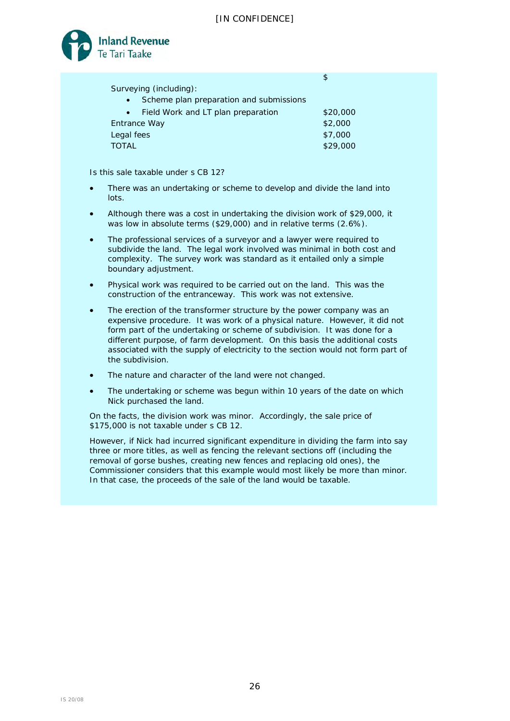$\phi$ 



| Surveying (including):                               |          |
|------------------------------------------------------|----------|
| Scheme plan preparation and submissions<br>$\bullet$ |          |
| • Field Work and LT plan preparation                 | \$20,000 |
| Entrance Way                                         | \$2,000  |
| Legal fees                                           | \$7,000  |
| <b>TOTAL</b>                                         | \$29,000 |
|                                                      |          |

Is this sale taxable under s CB 12?

- There was an undertaking or scheme to develop and divide the land into lots.
- Although there was a cost in undertaking the division work of \$29,000, it was low in absolute terms (\$29,000) and in relative terms (2.6%).
- The professional services of a surveyor and a lawyer were required to subdivide the land. The legal work involved was minimal in both cost and complexity. The survey work was standard as it entailed only a simple boundary adjustment.
- Physical work was required to be carried out on the land. This was the construction of the entranceway. This work was not extensive.
- The erection of the transformer structure by the power company was an expensive procedure. It was work of a physical nature. However, it did not form part of the undertaking or scheme of subdivision. It was done for a different purpose, of farm development. On this basis the additional costs associated with the supply of electricity to the section would not form part of the subdivision.
- The nature and character of the land were not changed.
- The undertaking or scheme was begun within 10 years of the date on which Nick purchased the land.

On the facts, the division work was minor. Accordingly, the sale price of \$175,000 is not taxable under s CB 12.

However, if Nick had incurred significant expenditure in dividing the farm into say three or more titles, as well as fencing the relevant sections off (including the removal of gorse bushes, creating new fences and replacing old ones), the Commissioner considers that this example would most likely be more than minor. In that case, the proceeds of the sale of the land would be taxable.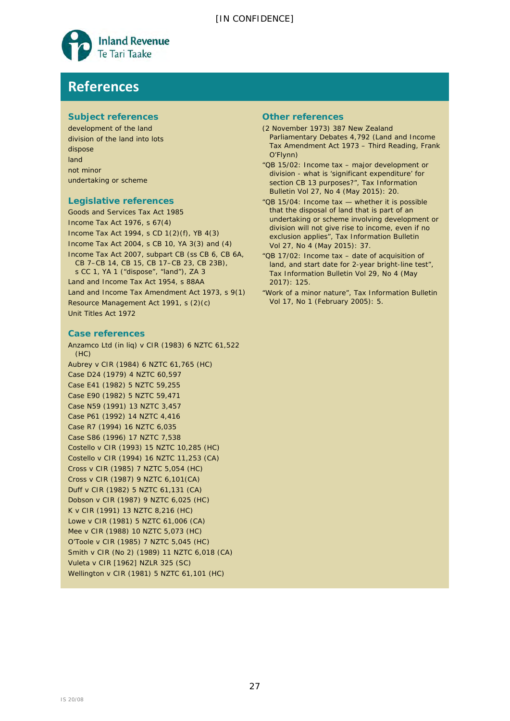

# **References**

# **Subject references**

development of the land division of the land into lots dispose land not minor undertaking or scheme

# **Legislative references**

Goods and Services Tax Act 1985 Income Tax Act 1976, s 67(4) Income Tax Act 1994, s CD 1(2)(f), YB 4(3) Income Tax Act 2004, s CB 10, YA 3(3) and (4) Income Tax Act 2007, subpart CB (ss CB 6, CB 6A, CB 7–CB 14, CB 15, CB 17–CB 23, CB 23B), s CC 1, YA 1 ("dispose", "land"), ZA 3 Land and Income Tax Act 1954, s 88AA Land and Income Tax Amendment Act 1973, s 9(1) Resource Management Act 1991, s (2)(c) Unit Titles Act 1972

#### **Case references**

*Anzamco Ltd (in liq) v CIR* (1983) 6 NZTC 61,522  $(HC)$ *Aubrey v CIR* (1984) 6 NZTC 61,765 (HC) *Case D24* (1979) 4 NZTC 60,597 *Case E41* (1982) 5 NZTC 59,255 *Case E90* (1982) 5 NZTC 59,471 *Case N59* (1991) 13 NZTC 3,457 *Case P61* (1992) 14 NZTC 4,416 *Case R7* (1994) 16 NZTC 6,035 *Case S86* (1996) 17 NZTC 7,538 *Costello v CIR* (1993) 15 NZTC 10,285 (HC) *Costello v CIR* (1994) 16 NZTC 11,253 (CA) *Cross v CIR* (1985) 7 NZTC 5,054 (HC) *Cross* v *CIR* (1987) 9 NZTC 6,101(CA) *Duff v CIR* (1982) 5 NZTC 61,131 (CA) *Dobson v CIR* (1987) 9 NZTC 6,025 (HC) *K v CIR* (1991) 13 NZTC 8,216 (HC) *Lowe v CIR* (1981) 5 NZTC 61,006 (CA) *Mee v CIR* (1988) 10 NZTC 5,073 (HC) *O'Toole v CIR* (1985) 7 NZTC 5,045 (HC) *Smith v CIR (No 2)* (1989) 11 NZTC 6,018 (CA) *Vuleta v CIR* [1962] NZLR 325 (SC) *Wellington v CIR* (1981) 5 NZTC 61,101 (HC)

#### **Other references**

- (2 November 1973) 387 *New Zealand Parliamentary Debates* 4,792 (Land and Income Tax Amendment Act 1973 – Third Reading, Frank O'Flynn)
- "QB 15/02: Income tax major development or division - what is 'significant expenditure' for section CB 13 purposes?", *Tax Information Bulletin* Vol 27, No 4 (May 2015): 20.
- "QB 15/04: Income tax whether it is possible that the disposal of land that is part of an undertaking or scheme involving development or division will not give rise to income, even if no exclusion applies", *Tax Information Bulletin* Vol 27, No 4 (May 2015): 37.
- "QB 17/02: Income tax date of acquisition of land, and start date for 2-year bright-line test", *Tax Information Bulletin* Vol 29, No 4 (May 2017): 125.
- "Work of a minor nature", *Tax Information Bulletin* Vol 17, No 1 (February 2005): 5.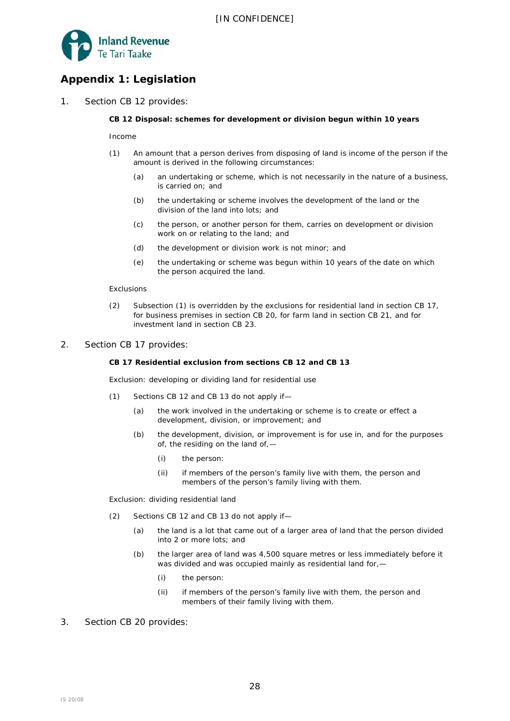

# **Appendix 1: Legislation**

1. Section CB 12 provides:

#### **CB 12 Disposal: schemes for development or division begun within 10 years**

*Income*

- (1) An amount that a person derives from disposing of land is income of the person if the amount is derived in the following circumstances:
	- (a) an undertaking or scheme, which is not necessarily in the nature of a business, is carried on; and
	- (b) the undertaking or scheme involves the development of the land or the division of the land into lots; and
	- (c) the person, or another person for them, carries on development or division work on or relating to the land; and
	- (d) the development or division work is not minor; and
	- (e) the undertaking or scheme was begun within 10 years of the date on which the person acquired the land.

#### *Exclusions*

- (2) Subsection (1) is overridden by the exclusions for residential land in section CB 17, for business premises in section CB 20, for farm land in section CB 21, and for investment land in section CB 23.
- 2. Section CB 17 provides:

#### **CB 17 Residential exclusion from sections CB 12 and CB 13**

*Exclusion: developing or dividing land for residential use*

- (1) Sections CB 12 and CB 13 do not apply if—
	- (a) the work involved in the undertaking or scheme is to create or effect a development, division, or improvement; and
	- (b) the development, division, or improvement is for use in, and for the purposes of, the residing on the land of,—
		- (i) the person:
		- (ii) if members of the person's family live with them, the person and members of the person's family living with them.

*Exclusion: dividing residential land*

- (2) Sections CB 12 and CB 13 do not apply if—
	- (a) the land is a lot that came out of a larger area of land that the person divided into 2 or more lots; and
	- (b) the larger area of land was 4,500 square metres or less immediately before it was divided and was occupied mainly as residential land for,—
		- (i) the person:
		- (ii) if members of the person's family live with them, the person and members of their family living with them.
- 3. Section CB 20 provides: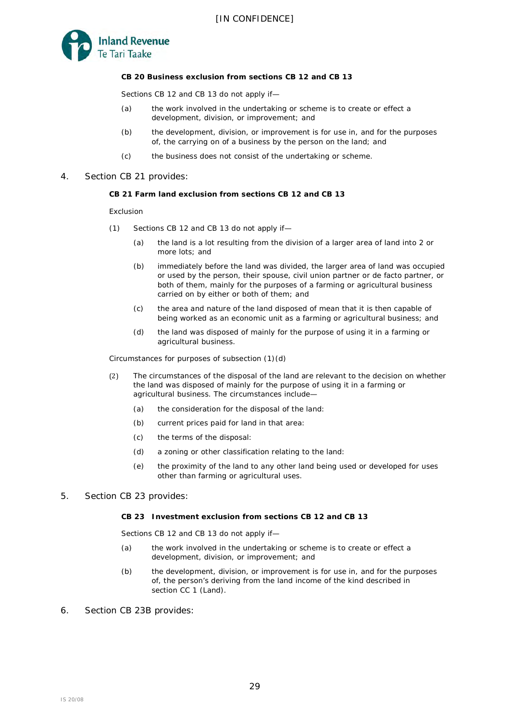

#### **CB 20 Business exclusion from sections CB 12 and CB 13**

Sections CB 12 and CB 13 do not apply if—

- (a) the work involved in the undertaking or scheme is to create or effect a development, division, or improvement; and
- (b) the development, division, or improvement is for use in, and for the purposes of, the carrying on of a business by the person on the land; and
- (c) the business does not consist of the undertaking or scheme.
- 4. Section CB 21 provides:

#### **CB 21 Farm land exclusion from sections CB 12 and CB 13**

*Exclusion*

- (1) Sections CB 12 and CB 13 do not apply if—
	- (a) the land is a lot resulting from the division of a larger area of land into 2 or more lots; and
	- (b) immediately before the land was divided, the larger area of land was occupied or used by the person, their spouse, civil union partner or de facto partner, or both of them, mainly for the purposes of a farming or agricultural business carried on by either or both of them; and
	- (c) the area and nature of the land disposed of mean that it is then capable of being worked as an economic unit as a farming or agricultural business; and
	- (d) the land was disposed of mainly for the purpose of using it in a farming or agricultural business.

*Circumstances for purposes of subsection (1)(d)*

- (2) The circumstances of the disposal of the land are relevant to the decision on whether the land was disposed of mainly for the purpose of using it in a farming or agricultural business. The circumstances include—
	- (a) the consideration for the disposal of the land:
	- (b) current prices paid for land in that area:
	- (c) the terms of the disposal:
	- (d) a zoning or other classification relating to the land:
	- (e) the proximity of the land to any other land being used or developed for uses other than farming or agricultural uses.
- 5. Section CB 23 provides:

#### **CB 23 Investment exclusion from sections CB 12 and CB 13**

Sections CB 12 and CB 13 do not apply if—

- (a) the work involved in the undertaking or scheme is to create or effect a development, division, or improvement; and
- (b) the development, division, or improvement is for use in, and for the purposes of, the person's deriving from the land income of the kind described in section CC 1 (Land).
- 6. Section CB 23B provides: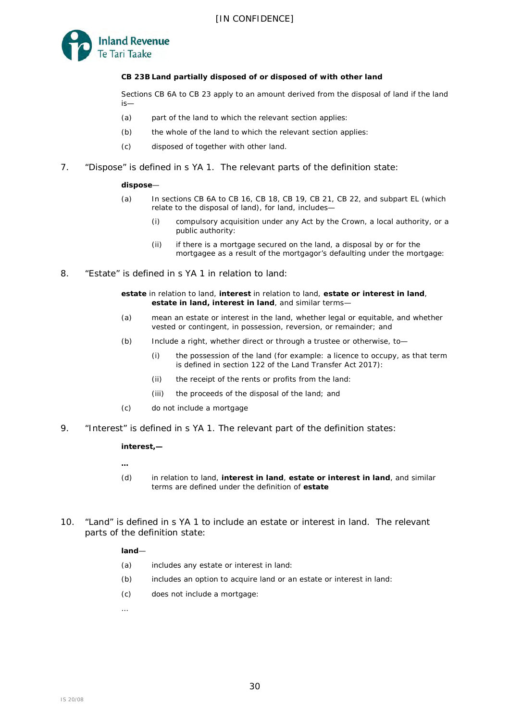

#### **CB 23B Land partially disposed of or disposed of with other land**

Sections CB 6A to CB 23 apply to an amount derived from the disposal of land if the land is—

- (a) part of the land to which the relevant section applies:
- (b) the whole of the land to which the relevant section applies:
- (c) disposed of together with other land.
- 7. "Dispose" is defined in s YA 1. The relevant parts of the definition state:

#### **dispose**—

- (a) In sections CB 6A to CB 16, CB 18, CB 19, CB 21, CB 22, and subpart EL (which relate to the disposal of land), for land, includes—
	- (i) compulsory acquisition under any Act by the Crown, a local authority, or a public authority:
	- (ii) if there is a mortgage secured on the land, a disposal by or for the mortgagee as a result of the mortgagor's defaulting under the mortgage:
- 8. "Estate" is defined in s YA 1 in relation to land:

**estate** in relation to land, **interest** in relation to land, **estate or interest in land**, **estate in land, interest in land**, and similar terms—

- (a) mean an estate or interest in the land, whether legal or equitable, and whether vested or contingent, in possession, reversion, or remainder; and
- (b) Include a right, whether direct or through a trustee or otherwise, to—
	- (i) the possession of the land (for example: a licence to occupy, as that term is defined in section 122 of the Land Transfer Act 2017):
	- (ii) the receipt of the rents or profits from the land:
	- (iii) the proceeds of the disposal of the land; and
- (c) do not include a mortgage
- 9. "Interest" is defined in s YA 1. The relevant part of the definition states:

#### **interest,—**

**…** 

- (d) in relation to land, **interest in land**, **estate or interest in land**, and similar terms are defined under the definition of **estate**
- 10. "Land" is defined in s YA 1 to include an estate or interest in land. The relevant parts of the definition state:

#### **land**—

- (a) includes any estate or interest in land:
- (b) includes an option to acquire land or an estate or interest in land:
- (c) does not include a mortgage:

…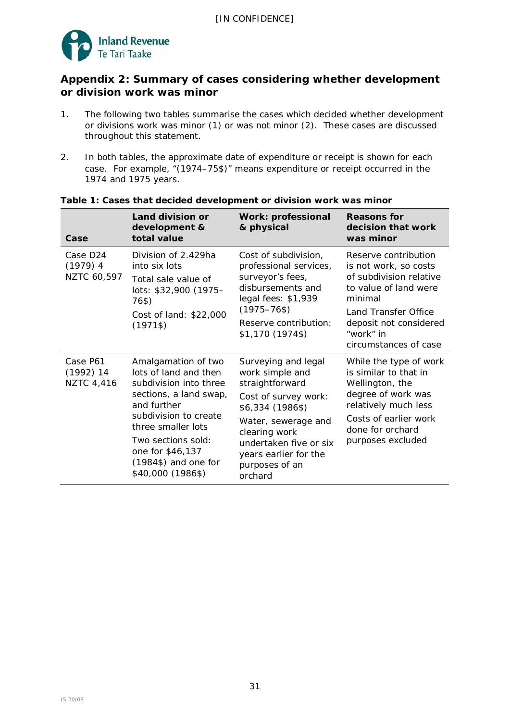

# **Appendix 2: Summary of cases considering whether development or division work was minor**

- 1. The following two tables summarise the cases which decided whether development or divisions work was minor (1) or was not minor (2). These cases are discussed throughout this statement.
- 2. In both tables, the approximate date of expenditure or receipt is shown for each case. For example, "(1974–75\$)" means expenditure or receipt occurred in the 1974 and 1975 years.

| Case                                         | Land division or<br>development &<br>total value                                                                                                                                                                                                        | <b>Work: professional</b><br>& physical                                                                                                                                                                                       | <b>Reasons for</b><br>decision that work<br>was minor                                                                                                                                                |
|----------------------------------------------|---------------------------------------------------------------------------------------------------------------------------------------------------------------------------------------------------------------------------------------------------------|-------------------------------------------------------------------------------------------------------------------------------------------------------------------------------------------------------------------------------|------------------------------------------------------------------------------------------------------------------------------------------------------------------------------------------------------|
| <i>Case D24</i><br>$(1979)$ 4<br>NZTC 60,597 | Division of 2.429ha<br>into six lots<br>Total sale value of<br>lots: \$32,900 (1975-<br>76\$)<br>Cost of land: \$22,000<br>$(1971\$                                                                                                                     | Cost of subdivision,<br>professional services,<br>surveyor's fees,<br>disbursements and<br>legal fees: \$1,939<br>$(1975 - 76$ \$)<br>Reserve contribution:<br>\$1,170 (1974\$)                                               | Reserve contribution<br>is not work, so costs<br>of subdivision relative<br>to value of land were<br>minimal<br>Land Transfer Office<br>deposit not considered<br>"work" in<br>circumstances of case |
| Case P61<br>$(1992)$ 14<br><b>NZTC 4,416</b> | Amalgamation of two<br>lots of land and then<br>subdivision into three<br>sections, a land swap,<br>and further<br>subdivision to create<br>three smaller lots<br>Two sections sold:<br>one for \$46,137<br>$(1984\$ ) and one for<br>\$40,000 (1986\$) | Surveying and legal<br>work simple and<br>straightforward<br>Cost of survey work:<br>\$6,334 (1986\$)<br>Water, sewerage and<br>clearing work<br>undertaken five or six<br>years earlier for the<br>purposes of an<br>orchard | While the type of work<br>is similar to that in<br>Wellington, the<br>degree of work was<br>relatively much less<br>Costs of earlier work<br>done for orchard<br>purposes excluded                   |

# **Table 1: Cases that decided development or division work was minor**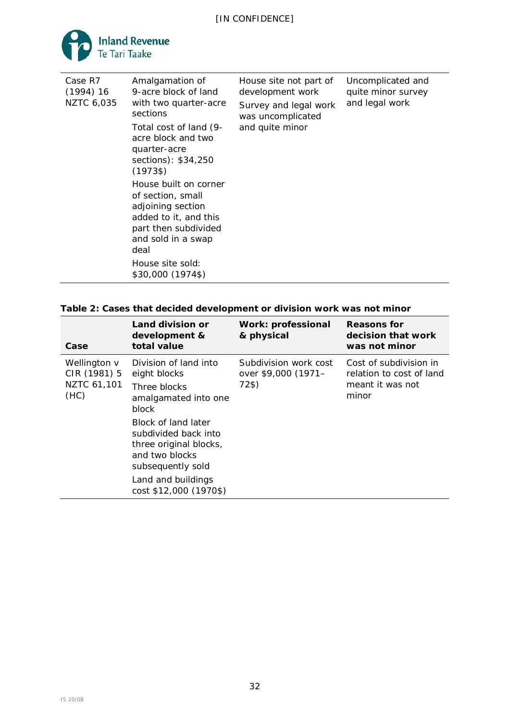

| Case                                                 | Land division or<br>development &<br>total value                                                                                                                                                                                                       | <b>Work: professional</b><br>& physical               | <b>Reasons for</b><br>decision that work<br>was not minor                       |
|------------------------------------------------------|--------------------------------------------------------------------------------------------------------------------------------------------------------------------------------------------------------------------------------------------------------|-------------------------------------------------------|---------------------------------------------------------------------------------|
| Wellington v<br>$CIR(1981)$ 5<br>NZTC 61,101<br>(HC) | Division of land into<br>eight blocks<br>Three blocks<br>amalgamated into one<br>block<br>Block of land later<br>subdivided back into<br>three original blocks,<br>and two blocks<br>subsequently sold<br>Land and buildings<br>cost \$12,000 (1970\$) | Subdivision work cost<br>over \$9,000 (1971-<br>72\$) | Cost of subdivision in<br>relation to cost of land<br>meant it was not<br>minor |